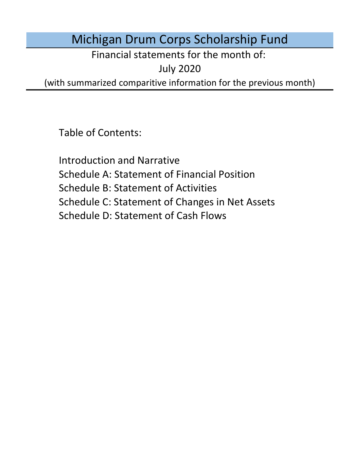# Michigan Drum Corps Scholarship Fund

Financial statements for the month of:

July 2020

(with summarized comparitive information for the previous month)

Table of Contents:

Schedule D: Statement of Cash Flows Introduction and Narrative Schedule A: Statement of Financial Position Schedule B: Statement of Activities Schedule C: Statement of Changes in Net Assets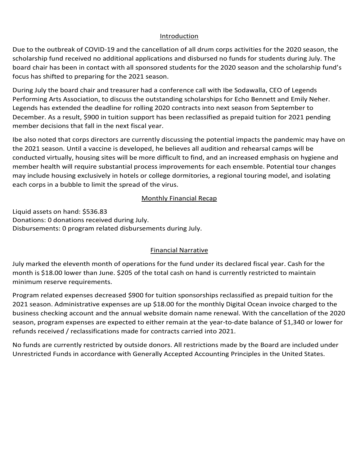### Introduction Introduction Introduction

Introduction<br>Due to the outbreak of COVID-19 and the cancellation of all drum corps activities for the 2020 season, the<br>scholarship fund received no additional applications and disbursed no funds for students during July. scholarship fund received no additional applications and disbursed no funds for students during July. The board chair has been in contact with all sponsored students for the 2020 season and the scholarship fund's<br>focus has shifted to preparing for the 2021 season.<br>During July the board chair and treasurer had a conference call focus has shifted to preparing for the 2021 season.

During July the board chair and treasurer had a conference call with Ibe Sodawalla, CEO of Legends Literaturing and association, to discuss the out Legends has extended the deadline for rolling 2020 contracts into next season from September to December. As a result, 5900 in tuition support has been reclassified as prepaid tu buring sury the board chair and treasurer nad a come.<br>Berforming Arts Association, to discuss the extensity  $\mu$  becember. As a result,  $\mu$  500 m tunion support member decisions that fall in the next fiscal year. and college graduation, among other responsibilities. The board chair has been in contact with sponsored During July the board chair and treasurer had a conference call with Ibe Sodawalla, CEO of Legends<br>Defenseived the Acceptition to discuss the substanting selectors in False Remett and Facily National regents has extended the deadline for folling 2020 contracts lifts frext season from september to December. As a result, \$900 in tuition support has been reclassified as prepaid tuition for 2021 pending<br>member desisions that fall in the next fiscal year. Performing Arts Association, to discuss the outstanding scholarships for Echo Bennett and Emily Neher.

member decisions that fall in the next fiscal year.<br>Ibe also noted that corps directors are currently discussing the potential impacts the pandemic may have on conducted virtually, housing sites will be more difficult to find, and an increased emphasis on hygiene and<br>magnifically will require substantial are seen increased to perfect for each area while. Petertial terms have s member health will require substantial process improvements for each ensemble. Potential tour changes may include housing exclusively in hotels or college dormitories, a regional touring model, and isolating each corps in a bubble to limit the spread of the virus. ibe aiso noted that corps directors are currently discussing the potential impacts the pandemic may have on<br>the 2021 season. Until a vaccine is developed, he believes all audition and rehearsal camps will be<br>conducted virt the 2021 season. Until a vaccine is developed, he believes all audition and rehearsal camps will be fund received no additional applications and disbursed no funds for students during July. The has been in contact with all sponsored students for the 2020 season and the scholarship fund's ifted to preparing for the 2021 s  $\mathbf{M}$  and  $\mathbf{M}$   $\mathbf{M}$  and  $\mathbf{M}$ 

#### **Monthly Financial Recap** Disbursements: 0 program related disbursements during May.  $\frac{1}{255}$

to increase in February following the recommended disbursement for the three applications received Liquid assets on hand: \$536.83<br>example of the state of the state of the state of the state of the state of the state of the state of the state of the state of the state of the state of the state of the state of the state o Donations: 0 donations received during July.<br>Disbursements: 0 program related disbursements during July. Program expenses are expected to increase in future months proportional to donations received. Donations: 0 donations received during July.<br>related expenses increased \$1,140 for tuition disbursements during March. Administrative

#### No funds are currently restricted by outside donors. All restrictions made by the Board are included under United Funds in accordance with General Library Accounting Principles in the United States. The United States in the United States. The United States in the United States. The United States. The United States. The United S  $\frac{1}{2}$  month of operations for the fund under its declared fiscal year. Cash for the month of  $\frac{1}{2}$ Financial Narrative Financial Narrative

.<br>Programme decidence decreased as earth of expensions for the foundamental declared for 2020 comp. Cook for the July marked the eleventh month of operations for the fund under its declared fiscal year. Cash for the<br>wearth is 648.00 lower than two -6395 of the tatal seek on hand is aware the retricted to maintain. month is \$18.00 lower than June. \$205 of the total cash on hand is currently restricted to maintain<br>minimum account results weather  $t_{\rm{minmin}}$  reserve requirements. Program relative requirements. minimum reserve requirements. minimum reserve requirements.

Program related expenses decreased \$900 for tuition sponsorships reclassified as prepaid tuition for the zuzi seasun. Aummistrative expenses are up y 10.00 for the monthly Digital Ocean invoice charged to the Board are included under the Board are included under the Board are included under the Board are included under the Bo Unrestricted Funds in accordance with Generally Accepted Accounting Principles in the United States. refunds received / reclassifications made for contracts carried into 2021. business checking account and the annual website domain name renewal. With the cancellation of the checking and the annual domain name renewal. With the cancellation of the 2020 be parations for the fund under its declared fiscal year. Cash for the<br>5 of the total cash on hand is currently restricted to maintain<br>\$900 for tuition sponsorships reclassified as prepaid tuition for the<br>5 are up \$18.00 f 2021 season. Administrative expenses are up \$18.00 for the monthly Digital Ocean invoice charged to the season, program expenses are expected to either remain at the year-to-date balance of \$1,340 or lower for<br>sefects assetted (as descifications weds for expression comindity) 2021 refunds received / reclassifications made for contracts carried into 2021.

No funds are currently restricted by outside donors. All restrictions made by the Board are included under No funds are currently restricted by outside donors. All restrictions made by the Board are included under Unrestricted Funds in accordance with Generally Accepted Accounting Principles in the United States.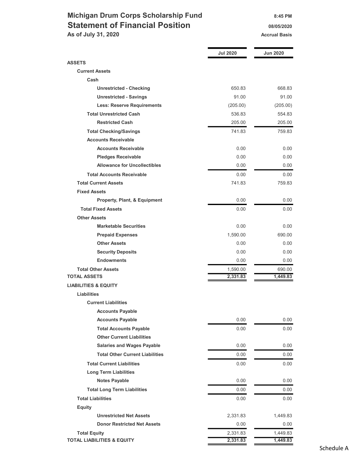## Michigan Drum Corps Scholarship Fund 8:45 PM Statement of Financial Position 08/05/2020 As of July 31, 2020 Accrual Basis Accrual Basis

|                                        | <b>Jul 2020</b> | <b>Jun 2020</b> |
|----------------------------------------|-----------------|-----------------|
| <b>ASSETS</b>                          |                 |                 |
| <b>Current Assets</b>                  |                 |                 |
| Cash                                   |                 |                 |
| <b>Unrestricted - Checking</b>         | 650.83          | 668.83          |
| <b>Unrestricted - Savings</b>          | 91.00           | 91.00           |
| <b>Less: Reserve Requirements</b>      | (205.00)        | (205.00)        |
| <b>Total Unrestricted Cash</b>         | 536.83          | 554.83          |
| <b>Restricted Cash</b>                 | 205.00          | 205.00          |
| <b>Total Checking/Savings</b>          | 741.83          | 759.83          |
| <b>Accounts Receivable</b>             |                 |                 |
| <b>Accounts Receivable</b>             | 0.00            | 0.00            |
| <b>Pledges Receivable</b>              | 0.00            | 0.00            |
| <b>Allowance for Uncollectibles</b>    | 0.00            | 0.00            |
| <b>Total Accounts Receivable</b>       | 0.00            | 0.00            |
| <b>Total Current Assets</b>            | 741.83          | 759.83          |
| <b>Fixed Assets</b>                    |                 |                 |
| Property, Plant, & Equipment           | 0.00            | 0.00            |
| <b>Total Fixed Assets</b>              | 0.00            | 0.00            |
| <b>Other Assets</b>                    |                 |                 |
| <b>Marketable Securities</b>           | 0.00            | 0.00            |
| <b>Prepaid Expenses</b>                | 1,590.00        | 690.00          |
| <b>Other Assets</b>                    | 0.00            | 0.00            |
| <b>Security Deposits</b>               | 0.00            | 0.00            |
| <b>Endowments</b>                      | 0.00            | 0.00            |
| <b>Total Other Assets</b>              | 1,590.00        | 690.00          |
| <b>TOTAL ASSETS</b>                    | 2,331.83        | 1,449.83        |
| <b>LIABILITIES &amp; EQUITY</b>        |                 |                 |
| Liabilities                            |                 |                 |
| <b>Current Liabilities</b>             |                 |                 |
| <b>Accounts Payable</b>                |                 |                 |
| <b>Accounts Payable</b>                | 0.00            | 0.00            |
| <b>Total Accounts Payable</b>          | 0.00            | 0.00            |
| <b>Other Current Liabilities</b>       |                 |                 |
| <b>Salaries and Wages Payable</b>      | 0.00            | 0.00            |
| <b>Total Other Current Liabilities</b> | 0.00            | 0.00            |
| <b>Total Current Liabilities</b>       | 0.00            | 0.00            |
| <b>Long Term Liabilities</b>           |                 |                 |
| <b>Notes Payable</b>                   | 0.00            | 0.00            |
| <b>Total Long Term Liabilities</b>     | 0.00            | 0.00            |
| <b>Total Liabilities</b>               | 0.00            | 0.00            |
| <b>Equity</b>                          |                 |                 |
| <b>Unrestricted Net Assets</b>         | 2,331.83        | 1,449.83        |
| <b>Donor Restricted Net Assets</b>     | 0.00            | 0.00            |
| <b>Total Equity</b>                    | 2,331.83        | 1,449.83        |
| <b>TOTAL LIABILITIES &amp; EQUITY</b>  | 2,331.83        | 1,449.83        |

Schedule A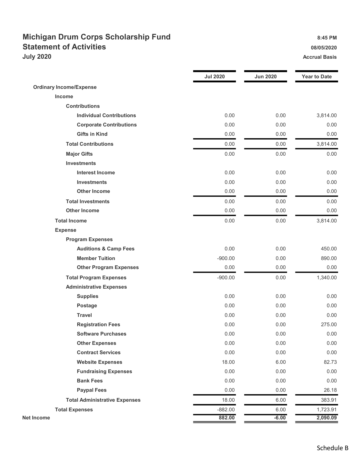## Michigan Drum Corps Scholarship Fund 8:45 PM Statement of Activities **Statement of Activities 18/05/2020 July 2020** Accrual Basis

|                                      | <b>Jul 2020</b> | <b>Jun 2020</b> | <b>Year to Date</b> |
|--------------------------------------|-----------------|-----------------|---------------------|
| <b>Ordinary Income/Expense</b>       |                 |                 |                     |
| Income                               |                 |                 |                     |
| <b>Contributions</b>                 |                 |                 |                     |
| <b>Individual Contributions</b>      | 0.00            | 0.00            | 3,814.00            |
| <b>Corporate Contributions</b>       | 0.00            | 0.00            | 0.00                |
| <b>Gifts in Kind</b>                 | 0.00            | 0.00            | 0.00                |
| <b>Total Contributions</b>           | 0.00            | 0.00            | 3,814.00            |
| <b>Major Gifts</b>                   | 0.00            | 0.00            | 0.00                |
| <b>Investments</b>                   |                 |                 |                     |
| <b>Interest Income</b>               | 0.00            | 0.00            | 0.00                |
| <b>Investments</b>                   | 0.00            | 0.00            | 0.00                |
| <b>Other Income</b>                  | 0.00            | 0.00            | 0.00                |
| <b>Total Investments</b>             | 0.00            | 0.00            | 0.00                |
| <b>Other Income</b>                  | 0.00            | 0.00            | 0.00                |
| <b>Total Income</b>                  | 0.00            | 0.00            | 3,814.00            |
| <b>Expense</b>                       |                 |                 |                     |
| <b>Program Expenses</b>              |                 |                 |                     |
| <b>Auditions &amp; Camp Fees</b>     | 0.00            | 0.00            | 450.00              |
| <b>Member Tuition</b>                | $-900.00$       | 0.00            | 890.00              |
| <b>Other Program Expenses</b>        | 0.00            | 0.00            | 0.00                |
| <b>Total Program Expenses</b>        | $-900.00$       | 0.00            | 1,340.00            |
| <b>Administrative Expenses</b>       |                 |                 |                     |
| <b>Supplies</b>                      | 0.00            | 0.00            | 0.00                |
| <b>Postage</b>                       | 0.00            | 0.00            | 0.00                |
| <b>Travel</b>                        | 0.00            | 0.00            | 0.00                |
| <b>Registration Fees</b>             | 0.00            | 0.00            | 275.00              |
| <b>Software Purchases</b>            | 0.00            | 0.00            | 0.00                |
| <b>Other Expenses</b>                | 0.00            | 0.00            | 0.00                |
| <b>Contract Services</b>             | 0.00            | 0.00            | 0.00                |
| <b>Website Expenses</b>              | 18.00           | 6.00            | 82.73               |
| <b>Fundraising Expenses</b>          | 0.00            | 0.00            | 0.00                |
| <b>Bank Fees</b>                     | 0.00            | 0.00            | 0.00                |
| <b>Paypal Fees</b>                   | 0.00            | 0.00            | 26.18               |
| <b>Total Administrative Expenses</b> | 18.00           | 6.00            | 383.91              |
| <b>Total Expenses</b>                | $-882.00$       | 6.00            | 1,723.91            |
| <b>Net Income</b>                    | 882.00          | $-6.00$         | 2,090.09            |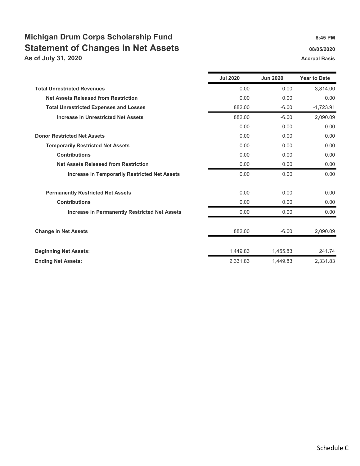# Michigan Drum Corps Scholarship Fund<br>8:45 PM Statement of Changes in Net Assets **68/05/2020** 08/05/2020

As of July 31, 2020 **Accrual Basis** Accrual Basis

|                                                      | <b>Jul 2020</b> | <b>Jun 2020</b> | <b>Year to Date</b> |
|------------------------------------------------------|-----------------|-----------------|---------------------|
| <b>Total Unrestricted Revenues</b>                   | 0.00            | 0.00            | 3,814.00            |
| <b>Net Assets Released from Restriction</b>          | 0.00            | 0.00            | 0.00                |
| <b>Total Unrestricted Expenses and Losses</b>        | 882.00          | $-6.00$         | $-1,723.91$         |
| <b>Increase in Unrestricted Net Assets</b>           | 882.00          | $-6.00$         | 2,090.09            |
|                                                      | 0.00            | 0.00            | 0.00                |
| <b>Donor Restricted Net Assets</b>                   | 0.00            | 0.00            | 0.00                |
| <b>Temporarily Restricted Net Assets</b>             | 0.00            | 0.00            | 0.00                |
| <b>Contributions</b>                                 | 0.00            | 0.00            | 0.00                |
| <b>Net Assets Released from Restriction</b>          | 0.00            | 0.00            | 0.00                |
| <b>Increase in Temporarily Restricted Net Assets</b> | 0.00            | 0.00            | 0.00                |
| <b>Permanently Restricted Net Assets</b>             | 0.00            | 0.00            | 0.00                |
| <b>Contributions</b>                                 | 0.00            | 0.00            | 0.00                |
| <b>Increase in Permanently Restricted Net Assets</b> | 0.00            | 0.00            | 0.00                |
| <b>Change in Net Assets</b>                          | 882.00          | $-6.00$         | 2,090.09            |
| <b>Beginning Net Assets:</b>                         | 1,449.83        | 1,455.83        | 241.74              |
| <b>Ending Net Assets:</b>                            | 2,331.83        | 1.449.83        | 2,331.83            |